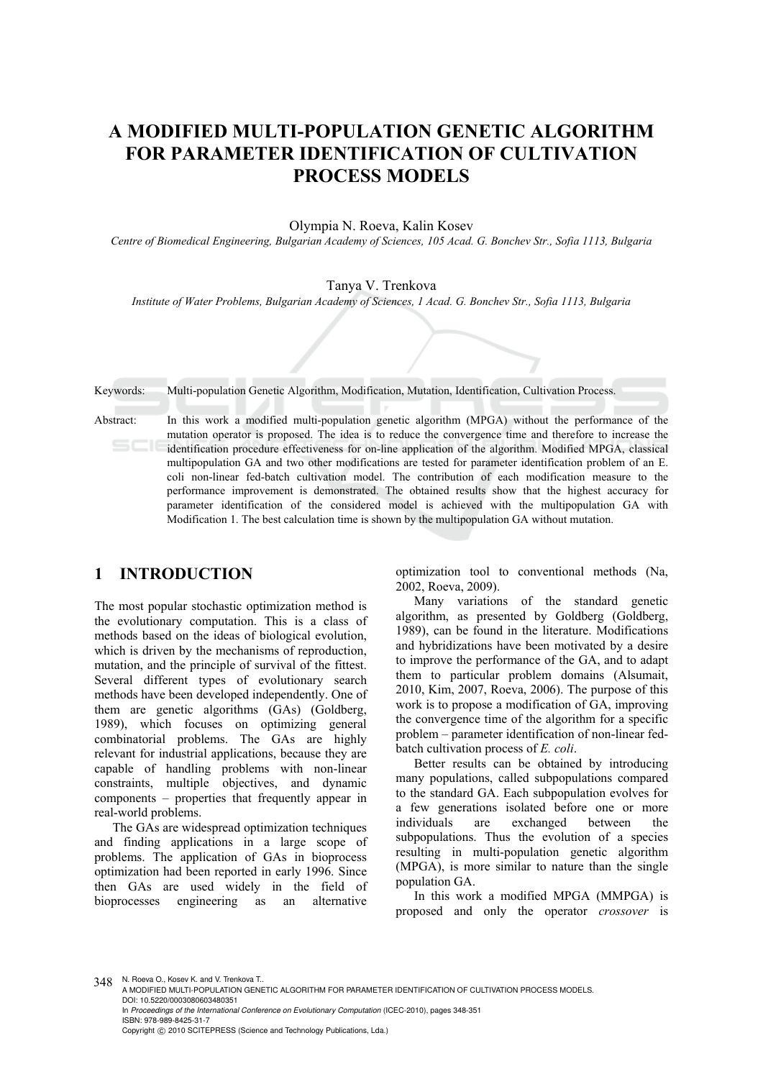# **A MODIFIED MULTI-POPULATION GENETIC ALGORITHM FOR PARAMETER IDENTIFICATION OF CULTIVATION PROCESS MODELS**

#### Olympia N. Roeva, Kalin Kosev

*Centre of Biomedical Engineering, Bulgarian Academy of Sciences, 105 Acad. G. Bonchev Str., Sofia 1113, Bulgaria* 

#### Tanya V. Trenkova

*Institute of Water Problems, Bulgarian Academy of Sciences, 1 Acad. G. Bonchev Str., Sofia 1113, Bulgaria* 

Keywords: Multi-population Genetic Algorithm, Modification, Mutation, Identification, Cultivation Process.

Abstract: In this work a modified multi-population genetic algorithm (MPGA) without the performance of the mutation operator is proposed. The idea is to reduce the convergence time and therefore to increase the identification procedure effectiveness for on-line application of the algorithm. Modified MPGA, classical multipopulation GA and two other modifications are tested for parameter identification problem of an E. coli non-linear fed-batch cultivation model. The contribution of each modification measure to the performance improvement is demonstrated. The obtained results show that the highest accuracy for parameter identification of the considered model is achieved with the multipopulation GA with Modification 1. The best calculation time is shown by the multipopulation GA without mutation.

#### **1 INTRODUCTION**

The most popular stochastic optimization method is the evolutionary computation. This is a class of methods based on the ideas of biological evolution, which is driven by the mechanisms of reproduction, mutation, and the principle of survival of the fittest. Several different types of evolutionary search methods have been developed independently. One of them are genetic algorithms (GAs) (Goldberg, 1989), which focuses on optimizing general combinatorial problems. The GAs are highly relevant for industrial applications, because they are capable of handling problems with non-linear constraints, multiple objectives, and dynamic components – properties that frequently appear in real-world problems.

The GAs are widespread optimization techniques and finding applications in a large scope of problems. The application of GAs in bioprocess optimization had been reported in early 1996. Since then GAs are used widely in the field of bioprocesses engineering as an alternative optimization tool to conventional methods (Na, 2002, Roeva, 2009).

Many variations of the standard genetic algorithm, as presented by Goldberg (Goldberg, 1989), can be found in the literature. Modifications and hybridizations have been motivated by a desire to improve the performance of the GA, and to adapt them to particular problem domains (Alsumait, 2010, Kim, 2007, Roeva, 2006). The purpose of this work is to propose a modification of GA, improving the convergence time of the algorithm for a specific problem – parameter identification of non-linear fedbatch cultivation process of *E. coli*.

Better results can be obtained by introducing many populations, called subpopulations compared to the standard GA. Each subpopulation evolves for a few generations isolated before one or more individuals are exchanged between the subpopulations. Thus the evolution of a species resulting in multi-population genetic algorithm (MPGA), is more similar to nature than the single population GA.

In this work a modified MPGA (MMPGA) is proposed and only the operator *crossover* is

348 N. Roeva O., Kosev K. and V. Trenkova T.

A MODIFIED MULTI-POPULATION GENETIC ALGORITHM FOR PARAMETER IDENTIFICATION OF CULTIVATION PROCESS MODELS. DOI: 10.5220/0003080603480351

In *Proceedings of the International Conference on Evolutionary Computation* (ICEC-2010), pages 348-351 ISBN: 978-989-8425-31-7 Copyright © 2010 SCITEPRESS (Science and Technology Publications, Lda.)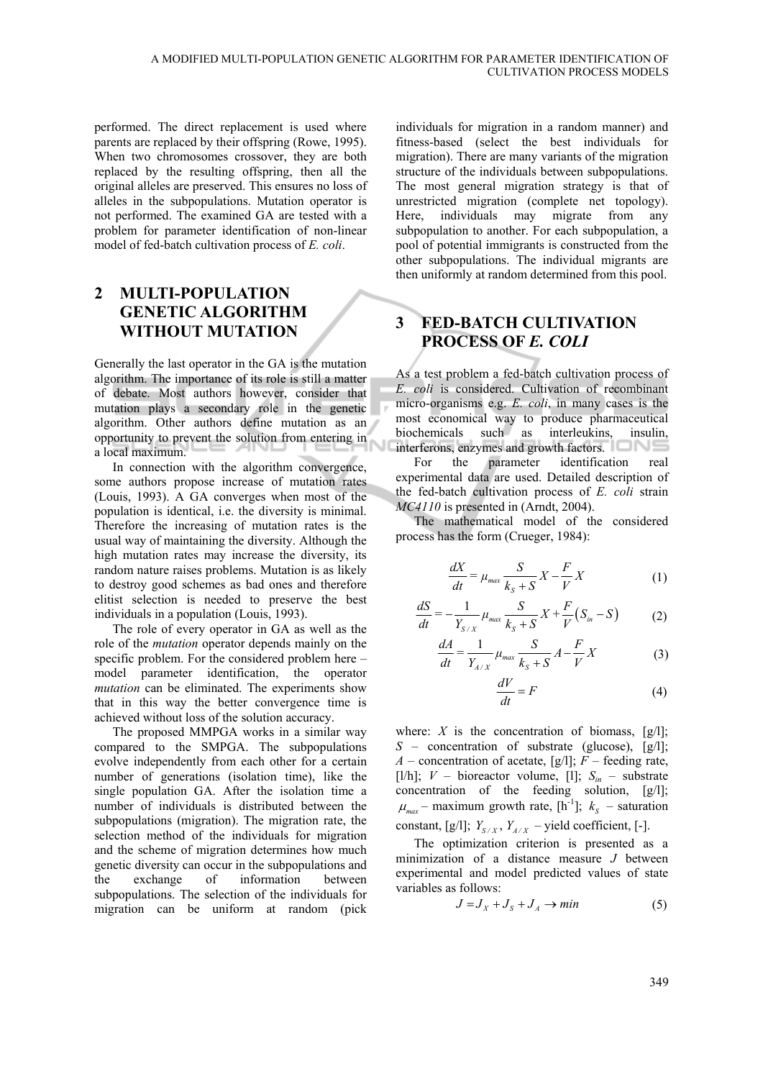performed. The direct replacement is used where parents are replaced by their offspring (Rowe, 1995). When two chromosomes crossover, they are both replaced by the resulting offspring, then all the original alleles are preserved. This ensures no loss of alleles in the subpopulations. Mutation operator is not performed. The examined GA are tested with a problem for parameter identification of non-linear model of fed-batch cultivation process of *E. coli*.

## **2 MULTI-POPULATION GENETIC ALGORITHM WITHOUT MUTATION**

Generally the last operator in the GA is the mutation algorithm. The importance of its role is still a matter of debate. Most authors however, consider that mutation plays a secondary role in the genetic algorithm. Other authors define mutation as an opportunity to prevent the solution from entering in a local maximum.

In connection with the algorithm convergence, some authors propose increase of mutation rates (Louis, 1993). A GA converges when most of the population is identical, i.e. the diversity is minimal. Therefore the increasing of mutation rates is the usual way of maintaining the diversity. Although the high mutation rates may increase the diversity, its random nature raises problems. Mutation is as likely to destroy good schemes as bad ones and therefore elitist selection is needed to preserve the best individuals in a population (Louis, 1993).

The role of every operator in GA as well as the role of the *mutation* operator depends mainly on the specific problem. For the considered problem here – model parameter identification, the operator *mutation* can be eliminated. The experiments show that in this way the better convergence time is achieved without loss of the solution accuracy.

The proposed MMPGA works in a similar way compared to the SMPGA. The subpopulations evolve independently from each other for a certain number of generations (isolation time), like the single population GA. After the isolation time a number of individuals is distributed between the subpopulations (migration). The migration rate, the selection method of the individuals for migration and the scheme of migration determines how much genetic diversity can occur in the subpopulations and the exchange of information between subpopulations. The selection of the individuals for migration can be uniform at random (pick

individuals for migration in a random manner) and fitness-based (select the best individuals for migration). There are many variants of the migration structure of the individuals between subpopulations. The most general migration strategy is that of unrestricted migration (complete net topology). Here, individuals may migrate from any subpopulation to another. For each subpopulation, a pool of potential immigrants is constructed from the other subpopulations. The individual migrants are then uniformly at random determined from this pool.

### **3 FED-BATCH CULTIVATION PROCESS OF** *E. COLI*

As a test problem a fed-batch cultivation process of *E. coli* is considered. Cultivation of recombinant micro-organisms e.g. *E. coli*, in many cases is the most economical way to produce pharmaceutical biochemicals such as interleukins, insulin, interferons, enzymes and growth factors.

For the parameter identification real experimental data are used. Detailed description of the fed-batch cultivation process of *E. coli* strain *MC4110* is presented in (Arndt, 2004).

The mathematical model of the considered process has the form (Crueger, 1984):

$$
\frac{dX}{dt} = \mu_{max} \frac{S}{k_s + S} X - \frac{F}{V} X \tag{1}
$$

$$
\frac{dS}{dt} = -\frac{1}{Y_{S/X}} \mu_{max} \frac{S}{k_S + S} X + \frac{F}{V} (S_{in} - S) \tag{2}
$$

$$
\frac{dA}{dt} = \frac{1}{Y_{A/X}} \mu_{max} \frac{S}{k_S + S} A - \frac{F}{V} X \tag{3}
$$

$$
\frac{dV}{dt} = F\tag{4}
$$

where:  $X$  is the concentration of biomass,  $[g/1]$ ; *S* – concentration of substrate (glucose), [g/l]; *A* – concentration of acetate, [g/l];  $F$  – feeding rate, [l/h];  $V -$  bioreactor volume, [1];  $S_{in} -$  substrate concentration of the feeding solution, [g/l];  $\mu_{\text{max}}$  – maximum growth rate, [h<sup>-1</sup>];  $k_s$  – saturation constant, [g/l];  $Y_{S/X}$ ,  $Y_{A/X}$  – yield coefficient, [-].

The optimization criterion is presented as a minimization of a distance measure *J* between experimental and model predicted values of state variables as follows:

$$
J = J_X + J_S + J_A \rightarrow min
$$
 (5)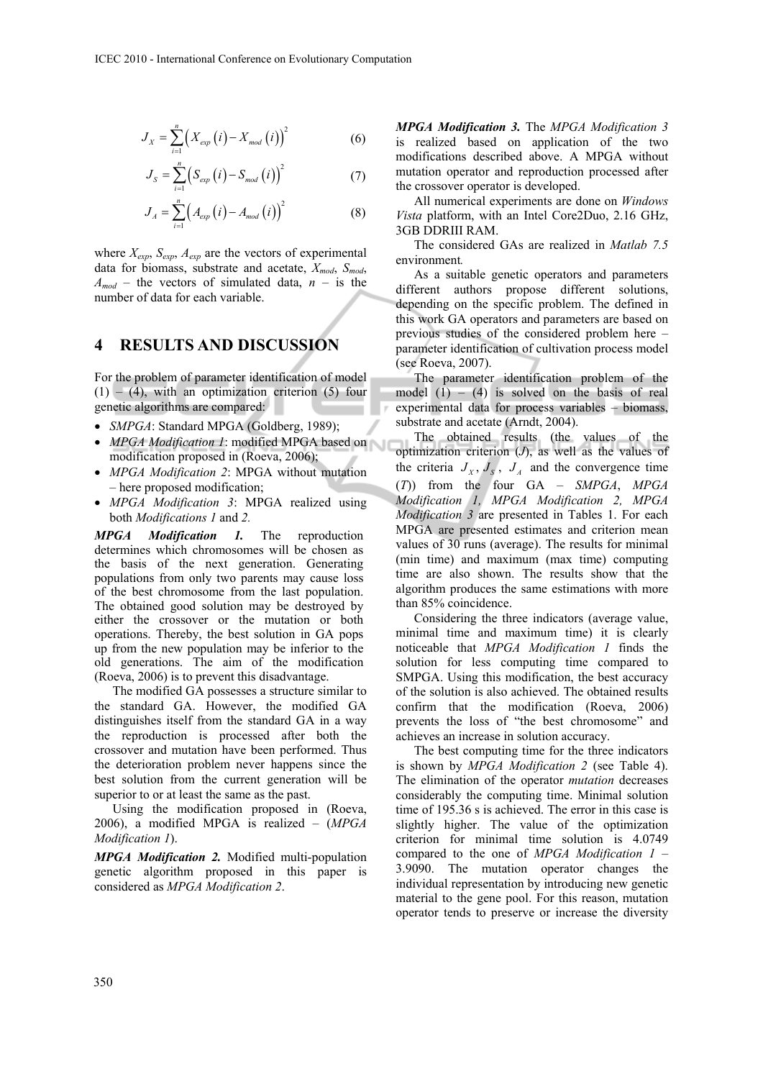$$
J_X = \sum_{i=1}^{n} \left( X_{\text{exp}}\left(i\right) - X_{\text{mod}}\left(i\right) \right)^2 \tag{6}
$$

$$
J_{S} = \sum_{i=1}^{n} \left( S_{exp} \left( i \right) - S_{mod} \left( i \right) \right)^{2} \tag{7}
$$

$$
J_A = \sum_{i=1}^{n} \left( A_{exp} \left( i \right) - A_{mod} \left( i \right) \right)^2 \tag{8}
$$

where  $X_{exp}$ ,  $S_{exp}$ ,  $A_{exp}$  are the vectors of experimental data for biomass, substrate and acetate, *Xmod*, *Smod*,  $A_{mod}$  – the vectors of simulated data,  $n -$  is the number of data for each variable.

#### **4 RESULTS AND DISCUSSION**

For the problem of parameter identification of model  $(1)$  – (4), with an optimization criterion (5) four genetic algorithms are compared:

- *SMPGA*: Standard MPGA (Goldberg, 1989);
- *MPGA Modification 1*: modified MPGA based on modification proposed in (Roeva, 2006);
- *MPGA Modification 2*: MPGA without mutation – here proposed modification;
- *MPGA Modification 3*: MPGA realized using both *Modifications 1* and *2.*

*MPGA Modification 1.* The reproduction determines which chromosomes will be chosen as the basis of the next generation. Generating populations from only two parents may cause loss of the best chromosome from the last population. The obtained good solution may be destroyed by either the crossover or the mutation or both operations. Thereby, the best solution in GA pops up from the new population may be inferior to the old generations. The aim of the modification (Roeva, 2006) is to prevent this disadvantage.

The modified GA possesses a structure similar to the standard GA. However, the modified GA distinguishes itself from the standard GA in a way the reproduction is processed after both the crossover and mutation have been performed. Thus the deterioration problem never happens since the best solution from the current generation will be superior to or at least the same as the past.

Using the modification proposed in (Roeva, 2006), a modified MPGA is realized – (*MPGA Modification 1*).

*MPGA Modification 2.* Modified multi-population genetic algorithm proposed in this paper is considered as *MPGA Modification 2*.

*MPGA Modification 3.* The *MPGA Modification 3*  is realized based on application of the two modifications described above. A MPGA without mutation operator and reproduction processed after the crossover operator is developed.

All numerical experiments are done on *Windows Vista* platform, with an Intel Core2Duo, 2.16 GHz, 3GB DDRIII RAM.

The considered GAs are realized in *Matlab 7.5*  environment*.*

As a suitable genetic operators and parameters different authors propose different solutions, depending on the specific problem. The defined in this work GA operators and parameters are based on previous studies of the considered problem here – parameter identification of cultivation process model (see Roeva, 2007).

The parameter identification problem of the model  $(1) - (4)$  is solved on the basis of real experimental data for process variables – biomass, substrate and acetate (Arndt, 2004).

The obtained results (the values of the optimization criterion (*J*), as well as the values of the criteria  $J_X$ ,  $J_S$ ,  $J_A$  and the convergence time (*T*)) from the four GA – *SMPGA*, *MPGA Modification 1, MPGA Modification 2, MPGA Modification 3* are presented in Tables 1. For each MPGA are presented estimates and criterion mean values of 30 runs (average). The results for minimal (min time) and maximum (max time) computing time are also shown. The results show that the algorithm produces the same estimations with more than 85% coincidence.

Considering the three indicators (average value, minimal time and maximum time) it is clearly noticeable that *MPGA Modification 1* finds the solution for less computing time compared to SMPGA. Using this modification, the best accuracy of the solution is also achieved. The obtained results confirm that the modification (Roeva, 2006) prevents the loss of "the best chromosome" and achieves an increase in solution accuracy.

The best computing time for the three indicators is shown by *MPGA Modification 2* (see Table 4). The elimination of the operator *mutation* decreases considerably the computing time. Minimal solution time of 195.36 s is achieved. The error in this case is slightly higher. The value of the optimization criterion for minimal time solution is 4.0749 compared to the one of *MPGA Modification 1* – 3.9090. The mutation operator changes the individual representation by introducing new genetic material to the gene pool. For this reason, mutation operator tends to preserve or increase the diversity